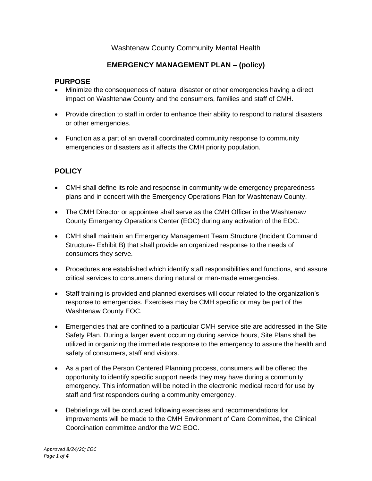## Washtenaw County Community Mental Health

# **EMERGENCY MANAGEMENT PLAN – (policy)**

#### **PURPOSE**

- Minimize the consequences of natural disaster or other emergencies having a direct impact on Washtenaw County and the consumers, families and staff of CMH.
- Provide direction to staff in order to enhance their ability to respond to natural disasters or other emergencies.
- Function as a part of an overall coordinated community response to community emergencies or disasters as it affects the CMH priority population.

## **POLICY**

- CMH shall define its role and response in community wide emergency preparedness plans and in concert with the Emergency Operations Plan for Washtenaw County.
- The CMH Director or appointee shall serve as the CMH Officer in the Washtenaw County Emergency Operations Center (EOC) during any activation of the EOC.
- CMH shall maintain an Emergency Management Team Structure (Incident Command Structure- Exhibit B) that shall provide an organized response to the needs of consumers they serve.
- Procedures are established which identify staff responsibilities and functions, and assure critical services to consumers during natural or man-made emergencies.
- Staff training is provided and planned exercises will occur related to the organization's response to emergencies. Exercises may be CMH specific or may be part of the Washtenaw County EOC.
- Emergencies that are confined to a particular CMH service site are addressed in the Site Safety Plan. During a larger event occurring during service hours, Site Plans shall be utilized in organizing the immediate response to the emergency to assure the health and safety of consumers, staff and visitors.
- As a part of the Person Centered Planning process, consumers will be offered the opportunity to identify specific support needs they may have during a community emergency. This information will be noted in the electronic medical record for use by staff and first responders during a community emergency.
- Debriefings will be conducted following exercises and recommendations for improvements will be made to the CMH Environment of Care Committee, the Clinical Coordination committee and/or the WC EOC.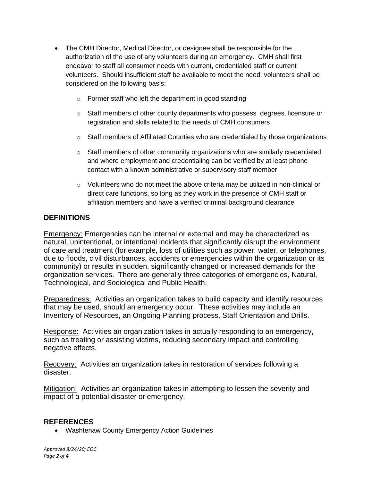- The CMH Director, Medical Director, or designee shall be responsible for the authorization of the use of any volunteers during an emergency. CMH shall first endeavor to staff all consumer needs with current, credentialed staff or current volunteers. Should insufficient staff be available to meet the need, volunteers shall be considered on the following basis:
	- o Former staff who left the department in good standing
	- o Staff members of other county departments who possess degrees, licensure or registration and skills related to the needs of CMH consumers
	- o Staff members of Affiliated Counties who are credentialed by those organizations
	- $\circ$  Staff members of other community organizations who are similarly credentialed and where employment and credentialing can be verified by at least phone contact with a known administrative or supervisory staff member
	- $\circ$  Volunteers who do not meet the above criteria may be utilized in non-clinical or direct care functions, so long as they work in the presence of CMH staff or affiliation members and have a verified criminal background clearance

### **DEFINITIONS**

Emergency: Emergencies can be internal or external and may be characterized as natural, unintentional, or intentional incidents that significantly disrupt the environment of care and treatment (for example, loss of utilities such as power, water, or telephones, due to floods, civil disturbances, accidents or emergencies within the organization or its community) or results in sudden, significantly changed or increased demands for the organization services. There are generally three categories of emergencies, Natural, Technological, and Sociological and Public Health.

Preparedness: Activities an organization takes to build capacity and identify resources that may be used, should an emergency occur. These activities may include an Inventory of Resources, an Ongoing Planning process, Staff Orientation and Drills.

Response: Activities an organization takes in actually responding to an emergency, such as treating or assisting victims, reducing secondary impact and controlling negative effects.

Recovery: Activities an organization takes in restoration of services following a disaster.

Mitigation: Activities an organization takes in attempting to lessen the severity and impact of a potential disaster or emergency.

#### **REFERENCES**

• Washtenaw County Emergency Action Guidelines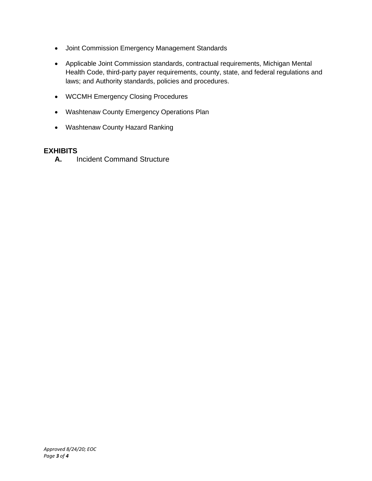- Joint Commission Emergency Management Standards
- Applicable Joint Commission standards, contractual requirements, Michigan Mental Health Code, third-party payer requirements, county, state, and federal regulations and laws; and Authority standards, policies and procedures.
- WCCMH Emergency Closing Procedures
- Washtenaw County Emergency Operations Plan
- Washtenaw County Hazard Ranking

### **EXHIBITS**

**A.** Incident Command Structure